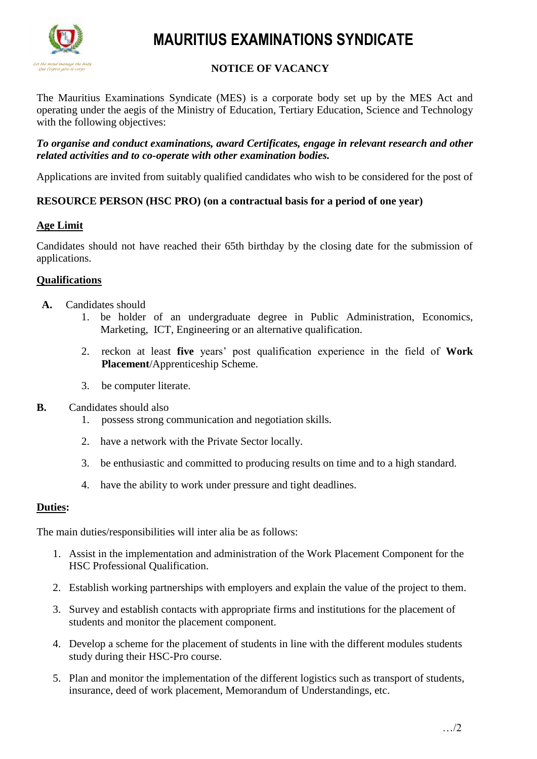

# **MAURITIUS EXAMINATIONS SYNDICATE**

# **NOTICE OF VACANCY**

The Mauritius Examinations Syndicate (MES) is a corporate body set up by the MES Act and operating under the aegis of the Ministry of Education, Tertiary Education, Science and Technology with the following objectives:

#### *To organise and conduct examinations, award Certificates, engage in relevant research and other related activities and to co-operate with other examination bodies.*

Applications are invited from suitably qualified candidates who wish to be considered for the post of

# **RESOURCE PERSON (HSC PRO) (on a contractual basis for a period of one year)**

# **Age Limit**

Candidates should not have reached their 65th birthday by the closing date for the submission of applications.

# **Qualifications**

- **A.** Candidates should
	- 1. be holder of an undergraduate degree in Public Administration, Economics, Marketing, ICT, Engineering or an alternative qualification.
	- 2. reckon at least **five** years' post qualification experience in the field of **Work Placement**/Apprenticeship Scheme.
	- 3. be computer literate.
- **B.** Candidates should also
	- 1. possess strong communication and negotiation skills.
	- 2. have a network with the Private Sector locally.
	- 3. be enthusiastic and committed to producing results on time and to a high standard.
	- 4. have the ability to work under pressure and tight deadlines.

### **Duties:**

The main duties/responsibilities will inter alia be as follows:

- 1. Assist in the implementation and administration of the Work Placement Component for the HSC Professional Qualification.
- 2. Establish working partnerships with employers and explain the value of the project to them.
- 3. Survey and establish contacts with appropriate firms and institutions for the placement of students and monitor the placement component.
- 4. Develop a scheme for the placement of students in line with the different modules students study during their HSC-Pro course.
- 5. Plan and monitor the implementation of the different logistics such as transport of students, insurance, deed of work placement, Memorandum of Understandings, etc.